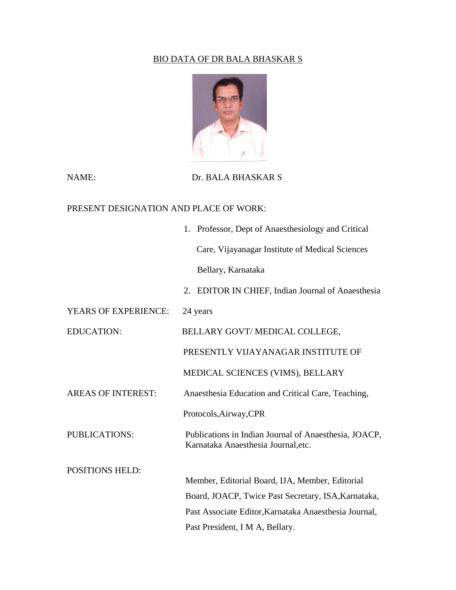## BIO DATA OF DR BALA BHASKAR S



## NAME: Dr. BALA BHASKAR S

## PRESENT DESIGNATION AND PLACE OF WORK:

|                           | 1. Professor, Dept of Anaesthesiology and Critical                                           |
|---------------------------|----------------------------------------------------------------------------------------------|
|                           | Care, Vijayanagar Institute of Medical Sciences                                              |
|                           | Bellary, Karnataka                                                                           |
|                           | EDITOR IN CHIEF, Indian Journal of Anaesthesia<br>2.                                         |
| YEARS OF EXPERIENCE:      | 24 years                                                                                     |
| <b>EDUCATION:</b>         | BELLARY GOVT/MEDICAL COLLEGE,                                                                |
|                           | PRESENTLY VIJAYANAGAR INSTITUTE OF                                                           |
|                           | MEDICAL SCIENCES (VIMS), BELLARY                                                             |
| <b>AREAS OF INTEREST:</b> | Anaesthesia Education and Critical Care, Teaching,                                           |
|                           | Protocols, Airway, CPR                                                                       |
| PUBLICATIONS:             | Publications in Indian Journal of Anaesthesia, JOACP,<br>Karnataka Anaesthesia Journal, etc. |
| <b>POSITIONS HELD:</b>    |                                                                                              |
|                           | Member, Editorial Board, IJA, Member, Editorial                                              |
|                           | Board, JOACP, Twice Past Secretary, ISA, Karnataka,                                          |
|                           | Past Associate Editor, Karnataka Anaesthesia Journal,                                        |
|                           | Past President, I M A, Bellary.                                                              |